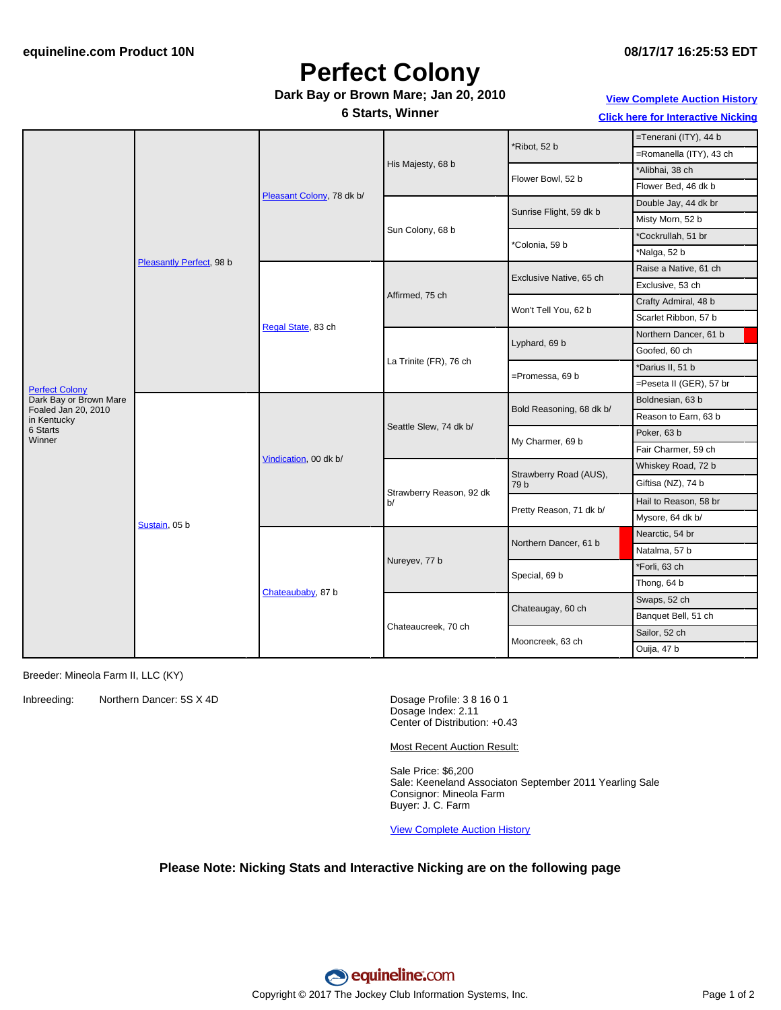# **Perfect Colony**

### **Dark Bay or Brown Mare; Jan 20, 2010**

**6 Starts, Winner**

**View [Complete](http://www.equineline.com/Free-Auction-Results.cfm?upsellReferenceNumber=&upsellHorseName=&upsellBreedType=&upsellHorseType=&upsellYOB=&lookupAuctionResults=true&tempHorseType=&tempSale=ALL&tempYear=ALL&search_type=HORSE&reference_number=8811707&horse_name=Fateful&horse_type=ALL&year=ALL&sale=ALL&consignor_id=&consignor_name=&buyer_id=&buyer_name=&price_range_low=&price_range_high=&availableConsignors=&availableBuyers=&fromFree5CrossPedigree=Y) Auction History**

**Click here for [Interactive](#page-1-0) Nicking**

| <b>Perfect Colony</b>                         | Pleasantly Perfect, 98 b | Pleasant Colony, 78 dk b/ | His Majesty, 68 b              |                          | =Tenerani (ITY), 44 b   |
|-----------------------------------------------|--------------------------|---------------------------|--------------------------------|--------------------------|-------------------------|
|                                               |                          |                           |                                | *Ribot, 52 b             | =Romanella (ITY), 43 ch |
|                                               |                          |                           |                                | Flower Bowl, 52 b        | *Alibhai, 38 ch         |
|                                               |                          |                           |                                |                          | Flower Bed, 46 dk b     |
|                                               |                          |                           | Sun Colony, 68 b               | Sunrise Flight, 59 dk b  | Double Jay, 44 dk br    |
|                                               |                          |                           |                                |                          | Misty Morn, 52 b        |
|                                               |                          |                           |                                | 'Colonia, 59 b           | *Cockrullah, 51 br      |
|                                               |                          |                           |                                |                          | *Nalga, 52 b            |
|                                               |                          | Regal State, 83 ch        | Affirmed, 75 ch                | Exclusive Native, 65 ch  | Raise a Native, 61 ch   |
|                                               |                          |                           |                                |                          | Exclusive, 53 ch        |
|                                               |                          |                           |                                | Won't Tell You, 62 b     | Crafty Admiral, 48 b    |
|                                               |                          |                           |                                |                          | Scarlet Ribbon, 57 b    |
|                                               |                          |                           | La Trinite (FR), 76 ch         | Lyphard, 69 b            | Northern Dancer, 61 b   |
|                                               |                          |                           |                                |                          | Goofed, 60 ch           |
|                                               |                          |                           |                                | =Promessa, 69 b          | *Darius II, 51 b        |
|                                               |                          |                           |                                |                          | =Peseta II (GER), 57 br |
| Dark Bay or Brown Mare<br>Foaled Jan 20, 2010 | Sustain, 05 b            |                           | Seattle Slew, 74 dk b/         | Bold Reasoning, 68 dk b/ | Boldnesian, 63 b        |
| in Kentucky                                   |                          | Vindication, 00 dk b/     |                                |                          | Reason to Earn, 63 b    |
| 6 Starts<br>Winner                            |                          |                           |                                | My Charmer, 69 b         | Poker, 63 b             |
|                                               |                          |                           |                                |                          | Fair Charmer, 59 ch     |
|                                               |                          |                           | Strawberry Reason, 92 dk<br>b/ | Strawberry Road (AUS),   | Whiskey Road, 72 b      |
|                                               |                          |                           |                                | 79 b                     | Giftisa (NZ), 74 b      |
|                                               |                          |                           |                                | Pretty Reason, 71 dk b/  | Hail to Reason, 58 br   |
|                                               |                          |                           |                                |                          | Mysore, 64 dk b/        |
|                                               |                          | Chateaubaby, 87 b         | Nureyev, 77 b                  | Northern Dancer, 61 b    | Nearctic, 54 br         |
|                                               |                          |                           |                                |                          | Natalma, 57 b           |
|                                               |                          |                           |                                | Special, 69 b            | *Forli, 63 ch           |
|                                               |                          |                           |                                |                          | Thong, 64 b             |
|                                               |                          |                           | Chateaucreek, 70 ch            | Chateaugay, 60 ch        | Swaps, 52 ch            |
|                                               |                          |                           |                                |                          | Banquet Bell, 51 ch     |
|                                               |                          |                           |                                | Mooncreek, 63 ch         | Sailor, 52 ch           |
|                                               |                          |                           |                                |                          | Ouija, 47 b             |

Breeder: Mineola Farm II, LLC (KY)

Inbreeding: Northern Dancer: 5S X 4D Dosage Profile: 3 8 16 0 1

Dosage Index: 2.11 Center of Distribution: +0.43

Most Recent Auction Result:

Sale Price: \$6,200 Sale: Keeneland Associaton September 2011 Yearling Sale Consignor: Mineola Farm Buyer: J. C. Farm

View [Complete](http://www.equineline.com/Free-Auction-Results.cfm?upsellReferenceNumber=&upsellHorseName=&upsellBreedType=&upsellHorseType=&upsellYOB=&lookupAuctionResults=true&tempHorseType=&tempSale=ALL&tempYear=ALL&search_type=HORSE&reference_number=8811707&horse_name=Fateful&horse_type=ALL&year=ALL&sale=ALL&consignor_id=&consignor_name=&buyer_id=&buyer_name=&price_range_low=&price_range_high=&availableConsignors=&availableBuyers=&fromFree5CrossPedigree=Y) Auction History

#### **Please Note: Nicking Stats and Interactive Nicking are on the following page**

equineline:com Copyright © 2017 The Jockey Club Information Systems, Inc. The Contract of 2 Page 1 of 2